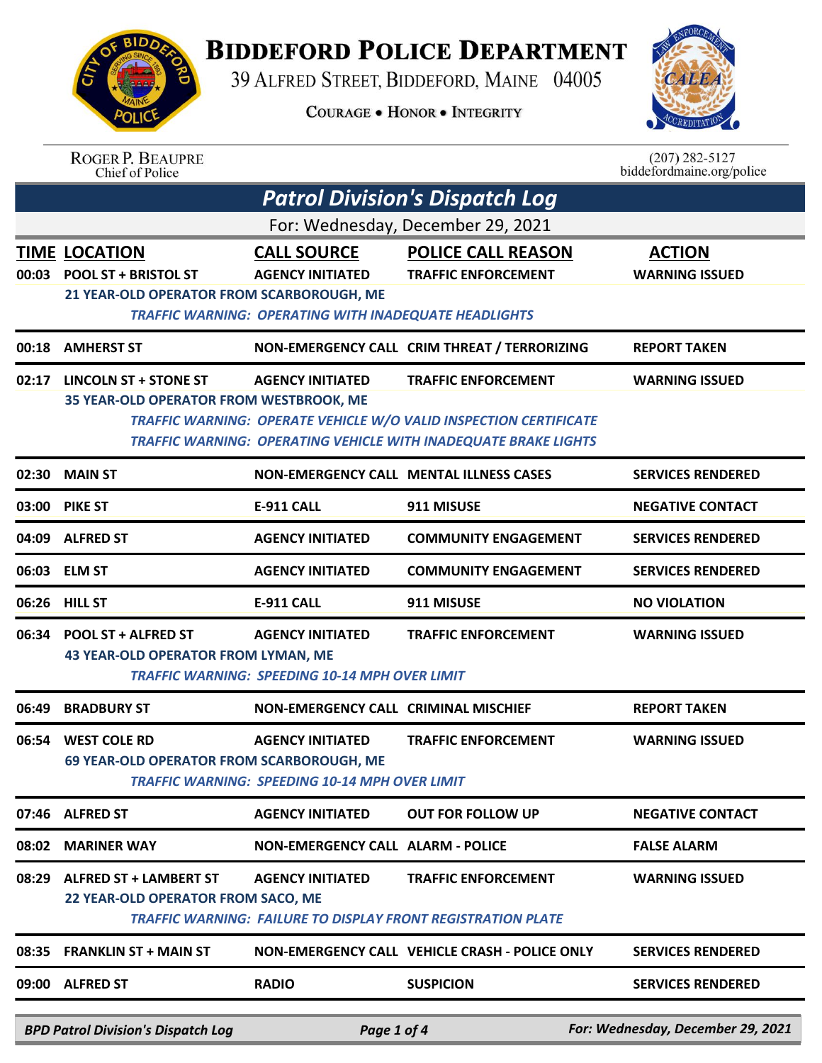

## **BIDDEFORD POLICE DEPARTMENT**

39 ALFRED STREET, BIDDEFORD, MAINE 04005

**COURAGE . HONOR . INTEGRITY** 



| <b>ROGER P. BEAUPRE</b> |
|-------------------------|
| Chief of Police         |

 $(207)$  282-5127<br>biddefordmaine.org/police

|                                   | <b>Patrol Division's Dispatch Log</b>                                                           |                                                                                                               |                                                                                                                                                                    |                                        |  |  |
|-----------------------------------|-------------------------------------------------------------------------------------------------|---------------------------------------------------------------------------------------------------------------|--------------------------------------------------------------------------------------------------------------------------------------------------------------------|----------------------------------------|--|--|
| For: Wednesday, December 29, 2021 |                                                                                                 |                                                                                                               |                                                                                                                                                                    |                                        |  |  |
|                                   | <b>TIME LOCATION</b><br>00:03 POOL ST + BRISTOL ST<br>21 YEAR-OLD OPERATOR FROM SCARBOROUGH, ME | <b>CALL SOURCE</b><br><b>AGENCY INITIATED</b><br><b>TRAFFIC WARNING: OPERATING WITH INADEQUATE HEADLIGHTS</b> | <b>POLICE CALL REASON</b><br><b>TRAFFIC ENFORCEMENT</b>                                                                                                            | <b>ACTION</b><br><b>WARNING ISSUED</b> |  |  |
| 00:18                             | <b>AMHERST ST</b>                                                                               |                                                                                                               | NON-EMERGENCY CALL CRIM THREAT / TERRORIZING                                                                                                                       | <b>REPORT TAKEN</b>                    |  |  |
|                                   | 02:17 LINCOLN ST + STONE ST<br>35 YEAR-OLD OPERATOR FROM WESTBROOK, ME                          | <b>AGENCY INITIATED</b>                                                                                       | <b>TRAFFIC ENFORCEMENT</b><br>TRAFFIC WARNING: OPERATE VEHICLE W/O VALID INSPECTION CERTIFICATE<br>TRAFFIC WARNING: OPERATING VEHICLE WITH INADEQUATE BRAKE LIGHTS | <b>WARNING ISSUED</b>                  |  |  |
|                                   | 02:30 MAIN ST                                                                                   |                                                                                                               | <b>NON-EMERGENCY CALL MENTAL ILLNESS CASES</b>                                                                                                                     | <b>SERVICES RENDERED</b>               |  |  |
|                                   | 03:00 PIKE ST                                                                                   | <b>E-911 CALL</b>                                                                                             | 911 MISUSE                                                                                                                                                         | <b>NEGATIVE CONTACT</b>                |  |  |
|                                   | 04:09 ALFRED ST                                                                                 | <b>AGENCY INITIATED</b>                                                                                       | <b>COMMUNITY ENGAGEMENT</b>                                                                                                                                        | <b>SERVICES RENDERED</b>               |  |  |
|                                   | 06:03 ELM ST                                                                                    | <b>AGENCY INITIATED</b>                                                                                       | <b>COMMUNITY ENGAGEMENT</b>                                                                                                                                        | <b>SERVICES RENDERED</b>               |  |  |
|                                   | 06:26 HILL ST                                                                                   | <b>E-911 CALL</b>                                                                                             | 911 MISUSE                                                                                                                                                         | <b>NO VIOLATION</b>                    |  |  |
|                                   | 06:34 POOL ST + ALFRED ST<br><b>43 YEAR-OLD OPERATOR FROM LYMAN, ME</b>                         | <b>AGENCY INITIATED</b><br><b>TRAFFIC WARNING: SPEEDING 10-14 MPH OVER LIMIT</b>                              | <b>TRAFFIC ENFORCEMENT</b>                                                                                                                                         | <b>WARNING ISSUED</b>                  |  |  |
| 06:49                             | <b>BRADBURY ST</b>                                                                              | <b>NON-EMERGENCY CALL CRIMINAL MISCHIEF</b>                                                                   |                                                                                                                                                                    | <b>REPORT TAKEN</b>                    |  |  |
| 06:54                             | <b>WEST COLE RD</b><br>69 YEAR-OLD OPERATOR FROM SCARBOROUGH, ME                                | <b>AGENCY INITIATED</b><br><b>TRAFFIC WARNING: SPEEDING 10-14 MPH OVER LIMIT</b>                              | <b>TRAFFIC ENFORCEMENT</b>                                                                                                                                         | <b>WARNING ISSUED</b>                  |  |  |
| 07:46                             | <b>ALFRED ST</b>                                                                                | <b>AGENCY INITIATED</b>                                                                                       | <b>OUT FOR FOLLOW UP</b>                                                                                                                                           | <b>NEGATIVE CONTACT</b>                |  |  |
| 08:02                             | <b>MARINER WAY</b>                                                                              | <b>NON-EMERGENCY CALL ALARM - POLICE</b>                                                                      |                                                                                                                                                                    | <b>FALSE ALARM</b>                     |  |  |
| 08:29                             | <b>ALFRED ST + LAMBERT ST</b><br>22 YEAR-OLD OPERATOR FROM SACO, ME                             | <b>AGENCY INITIATED</b>                                                                                       | <b>TRAFFIC ENFORCEMENT</b><br><b>TRAFFIC WARNING: FAILURE TO DISPLAY FRONT REGISTRATION PLATE</b>                                                                  | <b>WARNING ISSUED</b>                  |  |  |
| 08:35                             | <b>FRANKLIN ST + MAIN ST</b>                                                                    |                                                                                                               | NON-EMERGENCY CALL VEHICLE CRASH - POLICE ONLY                                                                                                                     | <b>SERVICES RENDERED</b>               |  |  |
| 09:00                             | <b>ALFRED ST</b>                                                                                | <b>RADIO</b>                                                                                                  | <b>SUSPICION</b>                                                                                                                                                   | <b>SERVICES RENDERED</b>               |  |  |
|                                   | <b>BPD Patrol Division's Dispatch Log</b>                                                       | Page 1 of 4                                                                                                   |                                                                                                                                                                    | For: Wednesday, December 29, 2021      |  |  |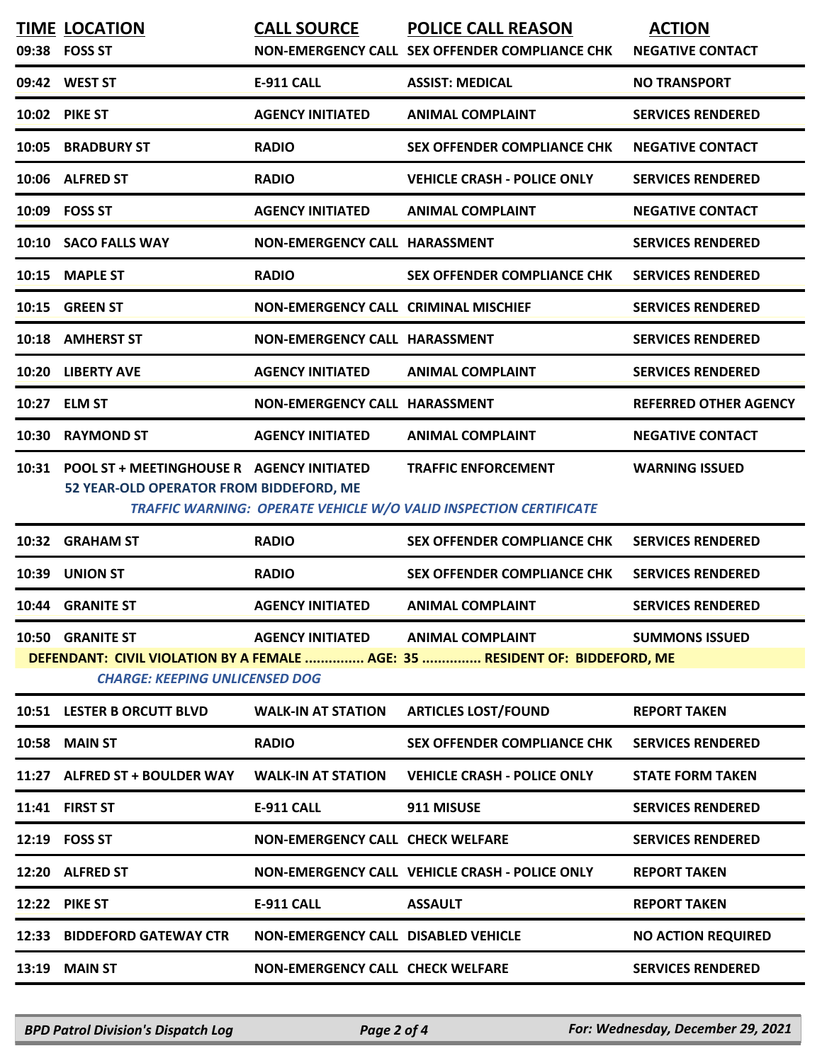|       | <b>TIME LOCATION</b><br>09:38 FOSS ST                                                      | <b>CALL SOURCE</b>                          | <b>POLICE CALL REASON</b><br>NON-EMERGENCY CALL SEX OFFENDER COMPLIANCE CHK                            | <b>ACTION</b><br><b>NEGATIVE CONTACT</b> |
|-------|--------------------------------------------------------------------------------------------|---------------------------------------------|--------------------------------------------------------------------------------------------------------|------------------------------------------|
|       | 09:42 WEST ST                                                                              | <b>E-911 CALL</b>                           | <b>ASSIST: MEDICAL</b>                                                                                 | <b>NO TRANSPORT</b>                      |
|       | 10:02 PIKE ST                                                                              | <b>AGENCY INITIATED</b>                     | <b>ANIMAL COMPLAINT</b>                                                                                | <b>SERVICES RENDERED</b>                 |
| 10:05 | <b>BRADBURY ST</b>                                                                         | <b>RADIO</b>                                | <b>SEX OFFENDER COMPLIANCE CHK</b>                                                                     | <b>NEGATIVE CONTACT</b>                  |
|       | 10:06 ALFRED ST                                                                            | <b>RADIO</b>                                | <b>VEHICLE CRASH - POLICE ONLY</b>                                                                     | <b>SERVICES RENDERED</b>                 |
|       | 10:09 FOSS ST                                                                              | <b>AGENCY INITIATED</b>                     | <b>ANIMAL COMPLAINT</b>                                                                                | <b>NEGATIVE CONTACT</b>                  |
|       | 10:10 SACO FALLS WAY                                                                       | NON-EMERGENCY CALL HARASSMENT               |                                                                                                        | <b>SERVICES RENDERED</b>                 |
| 10:15 | <b>MAPLE ST</b>                                                                            | <b>RADIO</b>                                | <b>SEX OFFENDER COMPLIANCE CHK</b>                                                                     | <b>SERVICES RENDERED</b>                 |
|       | 10:15 GREEN ST                                                                             | <b>NON-EMERGENCY CALL CRIMINAL MISCHIEF</b> |                                                                                                        | <b>SERVICES RENDERED</b>                 |
|       | 10:18 AMHERST ST                                                                           | NON-EMERGENCY CALL HARASSMENT               |                                                                                                        | <b>SERVICES RENDERED</b>                 |
| 10:20 | <b>LIBERTY AVE</b>                                                                         | <b>AGENCY INITIATED</b>                     | <b>ANIMAL COMPLAINT</b>                                                                                | <b>SERVICES RENDERED</b>                 |
| 10:27 | <b>ELM ST</b>                                                                              | <b>NON-EMERGENCY CALL HARASSMENT</b>        |                                                                                                        | <b>REFERRED OTHER AGENCY</b>             |
| 10:30 | <b>RAYMOND ST</b>                                                                          | <b>AGENCY INITIATED</b>                     | <b>ANIMAL COMPLAINT</b>                                                                                | <b>NEGATIVE CONTACT</b>                  |
|       | 10:31 POOL ST + MEETINGHOUSE R AGENCY INITIATED<br>52 YEAR-OLD OPERATOR FROM BIDDEFORD, ME |                                             | <b>TRAFFIC ENFORCEMENT</b><br>TRAFFIC WARNING: OPERATE VEHICLE W/O VALID INSPECTION CERTIFICATE        | <b>WARNING ISSUED</b>                    |
| 10:32 | <b>GRAHAM ST</b>                                                                           | <b>RADIO</b>                                | <b>SEX OFFENDER COMPLIANCE CHK</b>                                                                     | <b>SERVICES RENDERED</b>                 |
| 10:39 | <b>UNION ST</b>                                                                            | <b>RADIO</b>                                | <b>SEX OFFENDER COMPLIANCE CHK</b>                                                                     | <b>SERVICES RENDERED</b>                 |
|       | 10:44 GRANITE ST                                                                           | <b>AGENCY INITIATED</b>                     | <b>ANIMAL COMPLAINT</b>                                                                                | <b>SERVICES RENDERED</b>                 |
|       | 10:50 GRANITE ST<br><b>CHARGE: KEEPING UNLICENSED DOG</b>                                  | <b>AGENCY INITIATED</b>                     | <b>ANIMAL COMPLAINT</b><br>DEFENDANT: CIVIL VIOLATION BY A FEMALE  AGE: 35  RESIDENT OF: BIDDEFORD, ME | <b>SUMMONS ISSUED</b>                    |
|       | 10:51 LESTER B ORCUTT BLVD                                                                 | <b>WALK-IN AT STATION</b>                   | <b>ARTICLES LOST/FOUND</b>                                                                             | <b>REPORT TAKEN</b>                      |
|       | 10:58 MAIN ST                                                                              | <b>RADIO</b>                                | <b>SEX OFFENDER COMPLIANCE CHK</b>                                                                     | <b>SERVICES RENDERED</b>                 |
|       | 11:27 ALFRED ST + BOULDER WAY                                                              | <b>WALK-IN AT STATION</b>                   | <b>VEHICLE CRASH - POLICE ONLY</b>                                                                     | <b>STATE FORM TAKEN</b>                  |
|       | 11:41 FIRST ST                                                                             | <b>E-911 CALL</b>                           | 911 MISUSE                                                                                             | <b>SERVICES RENDERED</b>                 |
|       | 12:19 FOSS ST                                                                              | <b>NON-EMERGENCY CALL CHECK WELFARE</b>     |                                                                                                        | <b>SERVICES RENDERED</b>                 |
|       | 12:20 ALFRED ST                                                                            |                                             | NON-EMERGENCY CALL VEHICLE CRASH - POLICE ONLY<br><b>REPORT TAKEN</b>                                  |                                          |
|       | <b>12:22 PIKE ST</b>                                                                       | <b>E-911 CALL</b>                           | <b>ASSAULT</b><br><b>REPORT TAKEN</b>                                                                  |                                          |
| 12:33 | <b>BIDDEFORD GATEWAY CTR</b>                                                               | <b>NON-EMERGENCY CALL DISABLED VEHICLE</b>  |                                                                                                        | <b>NO ACTION REQUIRED</b>                |
|       | 13:19 MAIN ST                                                                              | <b>NON-EMERGENCY CALL CHECK WELFARE</b>     |                                                                                                        | <b>SERVICES RENDERED</b>                 |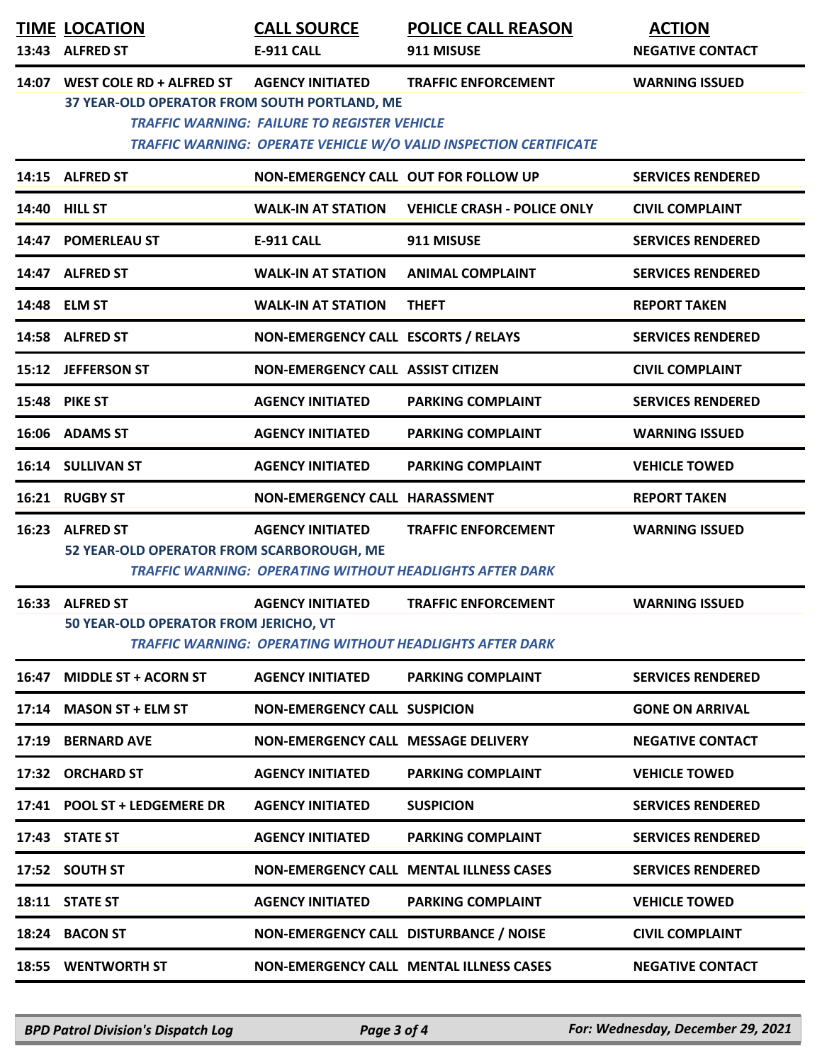|       | <b>TIME LOCATION</b><br>13:43 ALFRED ST                                        | <b>CALL SOURCE</b><br><b>E-911 CALL</b>                                        | <b>POLICE CALL REASON</b><br>911 MISUSE                                                         | <b>ACTION</b><br><b>NEGATIVE CONTACT</b> |
|-------|--------------------------------------------------------------------------------|--------------------------------------------------------------------------------|-------------------------------------------------------------------------------------------------|------------------------------------------|
|       | 14:07 WEST COLE RD + ALFRED ST<br>37 YEAR-OLD OPERATOR FROM SOUTH PORTLAND, ME | <b>AGENCY INITIATED</b><br><b>TRAFFIC WARNING: FAILURE TO REGISTER VEHICLE</b> | <b>TRAFFIC ENFORCEMENT</b><br>TRAFFIC WARNING: OPERATE VEHICLE W/O VALID INSPECTION CERTIFICATE | <b>WARNING ISSUED</b>                    |
|       | 14:15 ALFRED ST                                                                | NON-EMERGENCY CALL OUT FOR FOLLOW UP                                           |                                                                                                 | <b>SERVICES RENDERED</b>                 |
|       | 14:40 HILL ST                                                                  | <b>WALK-IN AT STATION</b>                                                      | <b>VEHICLE CRASH - POLICE ONLY</b>                                                              | <b>CIVIL COMPLAINT</b>                   |
|       | 14:47 POMERLEAU ST                                                             | <b>E-911 CALL</b>                                                              | 911 MISUSE                                                                                      | <b>SERVICES RENDERED</b>                 |
|       | 14:47 ALFRED ST                                                                | <b>WALK-IN AT STATION</b>                                                      | <b>ANIMAL COMPLAINT</b>                                                                         | <b>SERVICES RENDERED</b>                 |
|       | 14:48 ELM ST                                                                   | <b>WALK-IN AT STATION</b>                                                      | <b>THEFT</b>                                                                                    | <b>REPORT TAKEN</b>                      |
|       | 14:58 ALFRED ST                                                                | NON-EMERGENCY CALL ESCORTS / RELAYS                                            |                                                                                                 | <b>SERVICES RENDERED</b>                 |
|       | 15:12 JEFFERSON ST                                                             | <b>NON-EMERGENCY CALL ASSIST CITIZEN</b>                                       |                                                                                                 | <b>CIVIL COMPLAINT</b>                   |
|       | <b>15:48 PIKE ST</b>                                                           | <b>AGENCY INITIATED</b>                                                        | <b>PARKING COMPLAINT</b>                                                                        | <b>SERVICES RENDERED</b>                 |
|       | 16:06 ADAMS ST                                                                 | <b>AGENCY INITIATED</b>                                                        | <b>PARKING COMPLAINT</b>                                                                        | <b>WARNING ISSUED</b>                    |
|       | 16:14 SULLIVAN ST                                                              | <b>AGENCY INITIATED</b>                                                        | <b>PARKING COMPLAINT</b>                                                                        | <b>VEHICLE TOWED</b>                     |
|       | 16:21 RUGBY ST                                                                 | NON-EMERGENCY CALL HARASSMENT                                                  |                                                                                                 | <b>REPORT TAKEN</b>                      |
|       | 16:23 ALFRED ST<br>52 YEAR-OLD OPERATOR FROM SCARBOROUGH, ME                   | <b>AGENCY INITIATED</b>                                                        | <b>TRAFFIC ENFORCEMENT</b><br><b>TRAFFIC WARNING: OPERATING WITHOUT HEADLIGHTS AFTER DARK</b>   | <b>WARNING ISSUED</b>                    |
|       | 16:33 ALFRED ST<br>50 YEAR-OLD OPERATOR FROM JERICHO, VT                       | <b>AGENCY INITIATED</b>                                                        | <b>TRAFFIC ENFORCEMENT</b><br><b>TRAFFIC WARNING: OPERATING WITHOUT HEADLIGHTS AFTER DARK</b>   | <b>WARNING ISSUED</b>                    |
|       | 16:47 MIDDLE ST + ACORN ST                                                     | <b>AGENCY INITIATED</b>                                                        | <b>PARKING COMPLAINT</b>                                                                        | <b>SERVICES RENDERED</b>                 |
|       | 17:14 MASON ST + ELM ST                                                        | <b>NON-EMERGENCY CALL SUSPICION</b>                                            |                                                                                                 | <b>GONE ON ARRIVAL</b>                   |
| 17:19 | <b>BERNARD AVE</b>                                                             | NON-EMERGENCY CALL MESSAGE DELIVERY                                            |                                                                                                 | <b>NEGATIVE CONTACT</b>                  |
|       | 17:32 ORCHARD ST                                                               | <b>AGENCY INITIATED</b>                                                        | <b>PARKING COMPLAINT</b>                                                                        | <b>VEHICLE TOWED</b>                     |
|       | 17:41 POOL ST + LEDGEMERE DR                                                   | <b>AGENCY INITIATED</b>                                                        | <b>SUSPICION</b>                                                                                | <b>SERVICES RENDERED</b>                 |
|       | 17:43 STATE ST                                                                 | <b>AGENCY INITIATED</b>                                                        | <b>PARKING COMPLAINT</b>                                                                        | <b>SERVICES RENDERED</b>                 |
|       | 17:52 SOUTH ST                                                                 |                                                                                | <b>NON-EMERGENCY CALL MENTAL ILLNESS CASES</b>                                                  | <b>SERVICES RENDERED</b>                 |
|       | 18:11 STATE ST                                                                 | <b>AGENCY INITIATED</b>                                                        | <b>PARKING COMPLAINT</b>                                                                        | <b>VEHICLE TOWED</b>                     |
|       | 18:24 BACON ST                                                                 | NON-EMERGENCY CALL DISTURBANCE / NOISE                                         |                                                                                                 | <b>CIVIL COMPLAINT</b>                   |
|       | 18:55 WENTWORTH ST                                                             |                                                                                | <b>NON-EMERGENCY CALL MENTAL ILLNESS CASES</b>                                                  | <b>NEGATIVE CONTACT</b>                  |